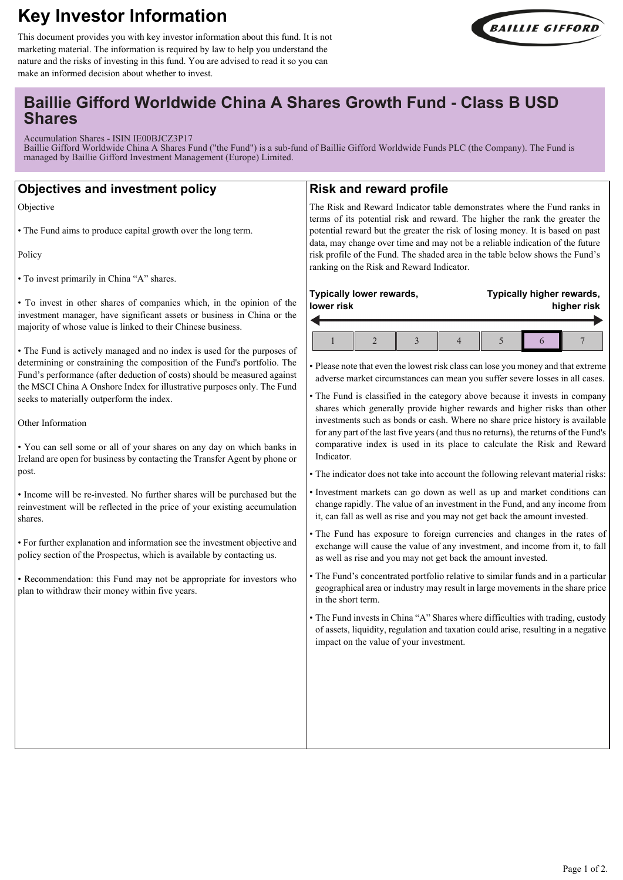# **Key Investor Information**



This document provides you with key investor information about this fund. It is not marketing material. The information is required by law to help you understand the nature and the risks of investing in this fund. You are advised to read it so you can make an informed decision about whether to invest.

# **Baillie Gifford Worldwide China A Shares Growth Fund - Class B USD Shares**

Accumulation Shares - ISIN IE00BJCZ3P17

Baillie Gifford Worldwide China A Shares Fund ("the Fund") is a sub-fund of Baillie Gifford Worldwide Funds PLC (the Company). The Fund is managed by Baillie Gifford Investment Management (Europe) Limited.

# **Objectives and investment policy**

Objective

• The Fund aims to produce capital growth over the long term.

Policy

• To invest primarily in China "A" shares.

• To invest in other shares of companies which, in the opinion of the investment manager, have significant assets or business in China or the majority of whose value is linked to their Chinese business.

• The Fund is actively managed and no index is used for the purposes of determining or constraining the composition of the Fund's portfolio. The Fund's performance (after deduction of costs) should be measured against the MSCI China A Onshore Index for illustrative purposes only. The Fund seeks to materially outperform the index.

Other Information

• You can sell some or all of your shares on any day on which banks in Ireland are open for business by contacting the Transfer Agent by phone or post.

• Income will be re-invested. No further shares will be purchased but the reinvestment will be reflected in the price of your existing accumulation shares.

• For further explanation and information see the investment objective and policy section of the Prospectus, which is available by contacting us.

• Recommendation: this Fund may not be appropriate for investors who plan to withdraw their money within five years.

## **Risk and reward profile**

The Risk and Reward Indicator table demonstrates where the Fund ranks in terms of its potential risk and reward. The higher the rank the greater the potential reward but the greater the risk of losing money. It is based on past data, may change over time and may not be a reliable indication of the future risk profile of the Fund. The shaded area in the table below shows the Fund's ranking on the Risk and Reward Indicator.

| Typically lower rewards, |  |  |  |  | Typically higher rewards, |  |  |  |
|--------------------------|--|--|--|--|---------------------------|--|--|--|
| lower risk               |  |  |  |  | higher risk               |  |  |  |
|                          |  |  |  |  |                           |  |  |  |

• Please note that even the lowest risk class can lose you money and that extreme adverse market circumstances can mean you suffer severe losses in all cases.

• The Fund is classified in the category above because it invests in company shares which generally provide higher rewards and higher risks than other investments such as bonds or cash. Where no share price history is available for any part of the last five years (and thus no returns), the returns of the Fund's comparative index is used in its place to calculate the Risk and Reward Indicator.

• The indicator does not take into account the following relevant material risks:

- Investment markets can go down as well as up and market conditions can change rapidly. The value of an investment in the Fund, and any income from it, can fall as well as rise and you may not get back the amount invested.
- The Fund has exposure to foreign currencies and changes in the rates of exchange will cause the value of any investment, and income from it, to fall as well as rise and you may not get back the amount invested.
- The Fund's concentrated portfolio relative to similar funds and in a particular geographical area or industry may result in large movements in the share price in the short term.
- The Fund invests in China "A" Shares where difficulties with trading, custody of assets, liquidity, regulation and taxation could arise, resulting in a negative impact on the value of your investment.